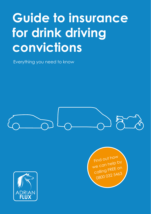# **Guide to insurance for drink driving convictions**

Everything you need to know





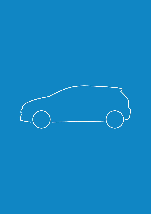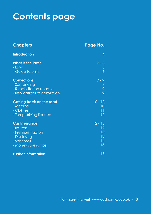## **Contents page**

| <b>Chapters</b>                 | Page No.  |
|---------------------------------|-----------|
| <b>Introduction</b>             | 4         |
| What is the law?                | $5 - 6$   |
| - Law                           | $-5$      |
| - Guide to units                | 6         |
| <b>Convictions</b>              | $7 - 9$   |
| - Sentencing                    | 7         |
| - Rehabilitation courses        | 9         |
| - Implications of conviction    | 9         |
| <b>Getting back on the road</b> | $10 - 12$ |
| - Medical                       | 10        |
| - CDT test                      | 11        |
| - Temp driving licence          | 12        |
| <b>Car Insurance</b>            | $12 - 15$ |
| - Insurers                      | 12        |
| - Premium factors               | 13        |
| - Disclosing                    | 13        |
| - Schemes                       | 14        |
| - Money saving tips             | 15        |
| <b>Further information</b>      | 16        |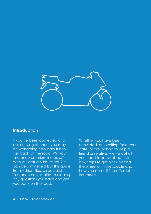

#### **Introduction**

If you've been convicted of a drink driving offence, you may be wondering how easy it is to get back on the road. Will your insurance premium increase? Who will actually insure you? It can be a minefield but this guide from Adrian Flux, a specialist insurance broker, aims to clear up any questions you have and get you back on the road.

Whether you have been convicted, are waiting for a court date, or are looking to help a friend or relative, we've got all you need to know about the law, steps to get back behind the wheel or in the saddle and how you can still find affordable insurance.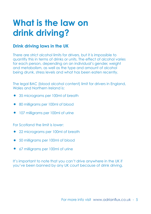## **What is the law on drink driving?**

### **Drink driving laws in the UK**

There are strict alcohol limits for drivers, but it is impossible to quantify this in terms of drinks or units. The effect of alcohol varies for each person, depending on an individual's gender, weight and metabolism, as well as the type and amount of alcohol being drunk, stress levels and what has been eaten recently.

The legal BAC (blood alcohol content) limit for drivers in England, Wales and Northern Ireland is:

- 35 micrograms per 100ml of breath **•**
- 80 milligrams per 100ml of blood **•**
- 107 milligrams per 100ml of urine **•**

For Scotland the limit is lower:

- 22 micrograms per 100ml of breath **•**
- 50 milligrams per 100ml of blood **•**
- 67 milligrams per 100ml of urine **•**

It's important to note that you can't drive anywhere in the UK if you've been banned by any UK court because of drink driving.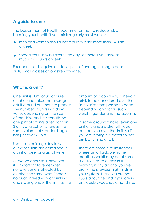#### **A guide to units**

The Department of Health recommends that to reduce risk of harming your health if you drink regularly most weeks:

- men and women should not regularly drink more than 14 units a week
- spread your drinking over three days or more if you drink as much as  $\frac{1}{4}$  units a wook much as 14 units a week

Fourteen units is equivalent to six pints of average strength beer or 10 small glasses of low strength wine.

#### **What is a unit?**

One unit is 10ml or 8g of pure alcohol and takes the average adult around one hour to process. The number of units in a drink varies depending on the size of the drink and its strength. So one pint of strong lager contains 3 units of alcohol, whereas the same volume of standard lager has just over 2 units.

Use these quick guides to work out what units are contained in a pint of beer or glass of wine.

As we've discussed, however, it's important to remember not everyone is affected by alcohol the same way. There is no guaranteed way of drinking and staying under the limit as the

amount of alcohol you'd need to drink to be considered over the limit varies from person to person, depending on factors such as weight, gender and metabolism.

In some circumstances, even one pint of standard strength lager can put you over the limit, so if you are driving it is better to not drink anything at all.

There are some circumstances where an affordable home breathalyser kit may be of some use, such as to check in the morning if any alcohol you've drunk the previous night is still in your system. These kits are not 100% accurate and if you are in any doubt, you should not drive.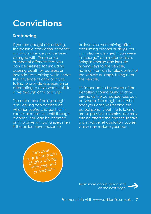## **Convictions**

### **Sentencing**

If you are caught drink driving, the possible conviction depends on which offence you've been charged with. There are a number of offences that you can be arrested for, including causing death by careless or inconsiderate driving while under the influence of drink or drugs, failing to provide a specimen or attempting to drive when unfit to drive through drink or drugs.

The outcome of being caught drink driving can depend on whether you're charged "with excess alcohol" or "unfit through alcohol". You can be deemed unfit to drive without a specimen if the police have reason to

believe you were driving after consuming alcohol or drugs. You can also be charged if you were "in charge" of a motor vehicle. Being in charge can include having keys to the vehicle, having intention to take control of the vehicle or simply being near the vehicle.

It's important to be aware of the penalties if found guilty of drink driving as the consequences can be severe. The magistrates who hear your case will decide the actual penalty but the following are all possible scenarios. You may also be offered the chance to take a drink-drive rehabilitation course, which can reduce your ban.

Turn over to see the table of drink driving offences and convictions

> learn more about convictions on the next page

For more info visit [www.adrianflux.co.uk](http://www.adrianflux.co.uk) - 7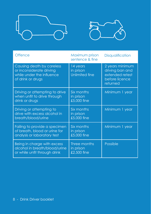



| <b>Offence</b>                                                                                          | Maximum prison<br>sentence & fine              | <b>Disqualification</b>                                                             |
|---------------------------------------------------------------------------------------------------------|------------------------------------------------|-------------------------------------------------------------------------------------|
| Causing death by careless<br>or inconsiderate driving<br>while under the influence<br>of drink or drugs | 14 years<br>in prison<br><b>Unlimited fine</b> | 2 years minimum<br>driving ban and<br>extended retest<br>before licence<br>returned |
| Driving or attempting to drive<br>when unfit to drive through<br>drink or drugs                         | Six months<br>in prison<br>£5,000 fine         | Minimum 1 year                                                                      |
| Driving or attempting to<br>drive with excess alcohol in<br>breath/blood/urine                          | Six months<br>in prison<br>£5,000 fine         | Minimum 1 year                                                                      |
| Failing to provide a specimen<br>of breath, blood or urine for<br>analysis or laboratory test           | Six months<br>in prison<br>£5,000 fine         | Minimum 1 year                                                                      |
| Being in charge with excess<br>alcohol in breath/blood/urine<br>or while unfit through drink            | Three months<br>in prison<br>£2,500 fine       | Possible                                                                            |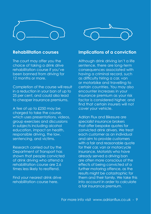



The court may offer you the choice of taking a drink drive rehabilitation course if you've been banned from driving for 12 months or more.

Completion of the course will result in a reduction in your ban of up to 25 per cent, and could also lead to cheaper insurance premiums.

A fee of up to £250 may be charged to take the course, which uses presentations, videos, group exercises and discussions in subjects including alcohol education, impact on health, responsible driving, the law, sentencing, and victims.

Research carried out by the Department of Transport has shown that people convicted of drink driving who attend a rehabilitation course are 2.6 times less likely to reoffend.

Find your nearest drink drive rehabilitation course here.



#### **Implications of a conviction**

Although drink driving isn't a life sentence, there are long-term consequences associated with having a criminal record, such as difficulty hiring a car, van or motorbike and travelling to certain countries. You may also encounter increases in your insurance premium as your risk factor is considered higher, and find that certain insurers will not cover your vehicle.

Adrian Flux and Bikesure are specialist insurance brokers that offer bespoke quotes for convicted drink drivers. We treat each customer as an individual and aim to provide customers with a fair and reasonable quote for their car, van or motorcycle insurance. Motorists who have already served a driving ban are often more conscious of the effects of being convicted of a further motoring offence, as the results might be catastrophic for them and their family. We take this into account in order to calculate a fair insurance premium.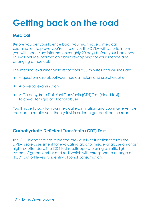## **Getting back on the road**

### **Medical**

Before you get your licence back you must have a medical examination to prove you're fit to drive. The DVLA will write to inform you with necessary information roughly 90 days before your ban ends. This will include information about re-applying for your licence and arranging a medical.

The medical examination lasts for about 30 minutes and will include:

- A questionnaire about your medical history and use of alcohol **•**
- A physical examination **•**
- A Carbohydrate Deficient Transferrin (CDT) Test (blood test) **•** to check for signs of alcohol abuse

You'll have to pay for your medical examination and you may even be required to retake your theory test in order to get back on the road.

### **Carbohydrate Deficient Transferrin (CDT) Test**

The CDT blood test has replaced previous liver function tests as the DVLA's sole assessment for evaluating alcohol misuse or abuse amongst high-risk offenders. The CDT test results operate using a traffic light system of green, amber and red, which will correspond to a range of %CDT cut off levels to identify alcohol consumption.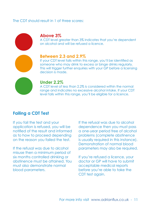#### The CDT should result in 1 of three scores:



#### **Above 3%**

A CDT level greater than 3% indicates that you're dependent on alcohol and will be refused a licence.

#### **Between 2.3 and 2.9%**

If your CDT level falls within this range, you'll be identified as someone who may drink to excess or binge drinks regularly. This will trigger further enquiries with your GP before a licensing decision is made.



#### **Under 2.2%**

A CDT level of less than 2.2% is considered within the normal range and indicates no excessive alcohol intake. If your CDT level falls within this range, you'll be eligible for a licence.

#### **Failing a CDT Test**

If you fail the test and your application is refused, you will be notified of the result and informed as to how to proceed depending on the reason you failed the test.

If the refusal was due to alcohol misuse then a minimum period of six months controlled drinking or abstinence must be attained. You must also demonstrate normal blood parameters.

If the refusal was due to alcohol dependence then you must pass a one-year period free of alcohol problems (complete abstinence is usually required in this instance). Demonstration of normal blood parameters may also be required.

If you're refused a licence, your doctor or GP will have to submit acceptable medical reports before you're able to take the CDT test again.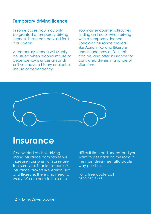#### **Temporary driving licence**

In some cases, you may only be granted a temporary driving licence. These can be valid for 1, 2 or 3 years.

A temporary licence will usually be issued when alcohol misuse or dependency is uncertain and/ or if you have a history or alcohol misuse or dependency.

You may encounter difficulties finding an insurer when driving with a temporary licence. Specialist insurance brokers like Adrian Flux and Bikesure understand how difficult this can be, and offer insurance for convicted drivers in a range of situations.



## **Insurance**

If convicted of drink driving, many insurance companies will increase your premium or refuse to insure you. Thanks to specialist insurance brokers like Adrian Flux and Bikesure, there's no need to worry. We are here to help at a

difficult time and understand you want to get back on the road in the most stress-free, affordable way possible.

For a free quote call 0800 032 5463.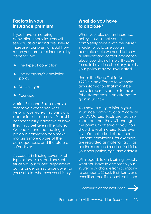#### **Factors in your insurance premium**

If you have a motoring conviction, many insurers will see you as a risk and are likely to increase your premium. But how much your premium increases by depends on:

- The type of conviction **•**
- The company's conviction policy **•**
- Vehicle type
- Your age **•**

Adrian Flux and Bikesure have extensive experience with helping convicted motorists and appreciate that a driver's past is not necessarily indicative of how they may behave in the future. We understand that having a previous conviction can make motorists more aware of the consequences, and therefore a safer driver.

As experts in finding cover for all types of specialist and unusual situations, our quotes department can arrange fair insurance cover for your vehicle, whatever your history.

#### **What do you have to disclose?**

When you take out an insurance policy, it's vital that you're completely honest with the insurer. In order for us to give you an accurate quote we need to know all relevant and correct information about your driving history. If you're found to have lied about any details, your policy may be invalidated.

Under the Road Traffic Act 1998 it is an offence to withhold any information that might be considered relevant, or to make false statements in an attempt to gain insurance.

You have a duty to inform your insurance company of all "material facts". Material facts are facts so important that they will change the premium offered to you. You should reveal material facts even if you're not asked about them. Unspent convictions, for example, are regarded as material facts, as are the make and model of vehicle, your occupation, age, and address.

With regards to drink driving, exactly what you have to disclose to your insurer may change from company to company. Check their terms and conditions, and if in doubt, call them.

continues on the next page

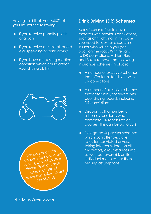#### Having said that, you MUST tell your insurer the following:

- If you receive penalty points or a ban **•**
- If you receive a criminal record e.g. speeding or drink driving
- If you have an existing medical **•** condition which could affect your driving ability





#### **Drink Driving (DR) Schemes**

Many insurers refuse to cover motorists with previous convictions, such as drink driving. In this case you need to look for a specialist insurer who will help you get back on the road. With regards to DR convictions, Adrian Flux and Bikesure have the following insurance schemes in place:

- A number of exclusive schemes **•** that offer terms for drivers with DR convictions
- A number of exclusive schemes **•** that cater solely for drivers with poor driving records including DR convictions
- Discounts off a number of **•** schemes for clients who complete DR rehabilitation courses (this can be up to 20%)
- Delegated Supervisor schemes which can offer bespoke rates for convicted drivers, taking into consideration all risk factors, circumstances etc so we treat every risk on its individual merits rather than making assumptions. **•**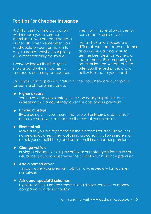#### **Top Tips For Cheaper Insurance**

A DR10 (drink driving conviction) will increase your insurance premium as you are considered a higher risk driver. Remember, you must declare your conviction to any insurers otherwise your policy will almost certainly be invalid.

Everyone knows that it pays to shop around when it comes to insurance, but many comparison sites won't make allowances for convicted or drink drivers.

Adrian Flux and Bikesure are different; we treat each customer as an individual and work to get the best deal for your exact requirements. By comparing a panel of insurers we are able to offer you the best price, and a policy tailored to your needs.

So, as you start to plan your return to the road, here are our top tips for getting cheaper insurance:

**Higher excess •**

You have to pay a voluntary excess on nearly all policies, but increasing that amount may lower the cost of your premium

## **Limited mileage •**

By agreeing with your insurer that you will only drive a set number of miles a year, you can reduce the cost of your premium

**Electoral roll •**

Make sure you are registered on the electoral roll and use your full name and address when obtaining a quote. This allows insurers to check your credit history and could result in a cheaper premium.

## **Change vehicle •**

Buying a cheaper, or less powerful car or motorcycle from a lower insurance group can decrease the cost of your insurance premium

## **Add a named driver •**

This can lower your premium substantially, especially for younger car drivers

## **Ask about specialist schemes •**

High risk or DR insurance schemes could save you a lot of money compared to a regular policy